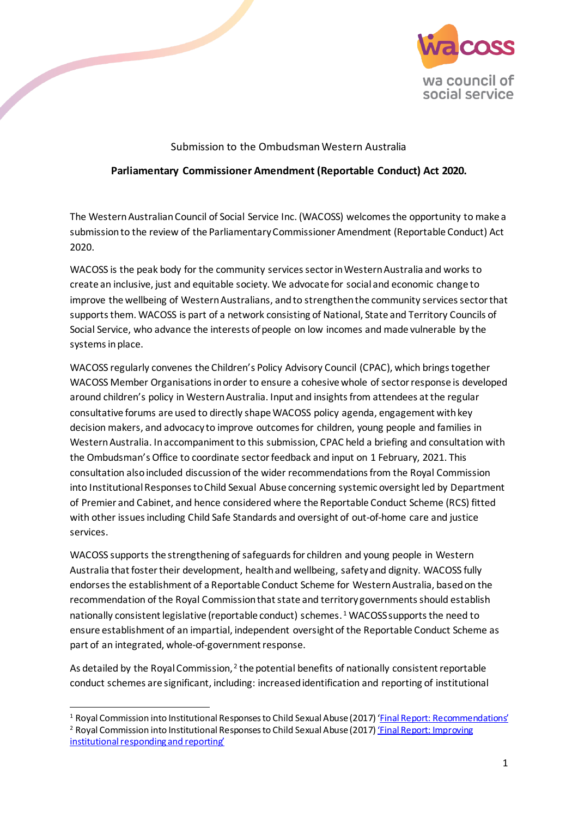

# Submission to the Ombudsman Western Australia

# **Parliamentary Commissioner Amendment (Reportable Conduct) Act 2020.**

The Western Australian Council of Social Service Inc. (WACOSS) welcomes the opportunity to make a submission to the review of the Parliamentary Commissioner Amendment (Reportable Conduct) Act 2020.

WACOSS is the peak body for the community services sectorin Western Australia and works to create an inclusive, just and equitable society. We advocate for social and economic change to improve the wellbeing of Western Australians, and to strengthen the community services sector that supports them. WACOSS is part of a network consisting of National, State and Territory Councils of Social Service, who advance the interests of people on low incomes and made vulnerable by the systems in place.

WACOSS regularly convenes the Children's Policy Advisory Council (CPAC), which brings together WACOSS Member Organisations in order to ensure a cohesive whole of sector response is developed around children's policy in Western Australia. Input and insights from attendees at the regular consultative forums are used to directly shape WACOSS policy agenda, engagement with key decision makers, and advocacy to improve outcomes for children, young people and families in Western Australia. In accompaniment to this submission, CPAC held a briefing and consultation with the Ombudsman's Office to coordinate sectorfeedback and input on 1 February, 2021. This consultation also included discussion of the wider recommendations from the Royal Commission into Institutional Responses to Child Sexual Abuse concerning systemic oversight led by Department of Premier and Cabinet, and hence considered where the Reportable Conduct Scheme (RCS) fitted with other issues including Child Safe Standards and oversight of out-of-home care and justice services.

WACOSS supports the strengthening of safeguards for children and young people in Western Australia that foster their development, health and wellbeing, safety and dignity. WACOSS fully endorses the establishment of a Reportable Conduct Scheme for Western Australia, based on the recommendation of the Royal Commission that state and territory governments should establish nationally consistent legislative (reportable conduct) schemes.<sup>[1](#page-0-0)</sup> WACOSS supports the need to ensure establishment of an impartial, independent oversight of the Reportable Conduct Scheme as part of an integrated, whole-of-government response.

As detailed by the Royal Commission,  $2$  the potential benefits of nationally consistent reportable conduct schemes are significant, including: increasedidentification and reporting of institutional

<span id="page-0-1"></span><span id="page-0-0"></span><sup>&</sup>lt;sup>1</sup> Royal Commission into Institutional Responses to Child Sexual Abuse (2017[\) 'Final Report: Recommendations'](https://www.childabuseroyalcommission.gov.au/sites/default/files/final_report_-_recommendations.pdf) <sup>2</sup> Royal Commission into Institutional Responses to Child Sexual Abuse (2017) 'Final Report: Improving [institutional responding and reporting'](https://www.childabuseroyalcommission.gov.au/sites/default/files/final_report_-_volume_7_improving_institutional_responding_and_reporting.pdf)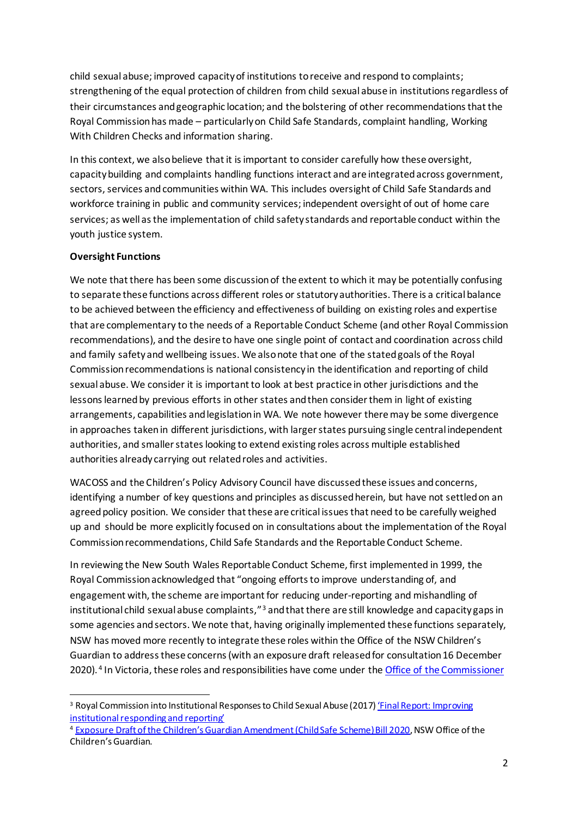child sexual abuse; improved capacity of institutions to receive and respond to complaints; strengthening of the equal protection of children from child sexual abuse in institutions regardless of their circumstances and geographic location; and the bolstering of other recommendations that the Royal Commission has made – particularly on Child Safe Standards, complaint handling, Working With Children Checks and information sharing.

In this context, we also believe that it is important to consider carefully how these oversight, capacity building and complaints handling functions interact and are integrated across government, sectors, services and communities within WA. This includes oversight of Child Safe Standards and workforce training in public and community services; independent oversight of out of home care services; as well as the implementation of child safety standards and reportable conduct within the youth justice system.

# **Oversight Functions**

We note that there has been some discussion of the extent to which it may be potentially confusing to separate these functions across different roles or statutory authorities. There is a critical balance to be achieved between the efficiency and effectiveness of building on existing roles and expertise that are complementary to the needs of a Reportable Conduct Scheme (and other Royal Commission recommendations), and the desire to have one single point of contact and coordination across child and family safety and wellbeing issues. We also note that one of the stated goals of the Royal Commission recommendations is national consistency in the identification and reporting of child sexual abuse. We consider it is important to look at best practice in other jurisdictions and the lessons learned by previous efforts in other states and then consider them in light of existing arrangements, capabilities and legislation in WA. We note however there may be some divergence in approaches taken in different jurisdictions, with larger states pursuing single central independent authorities, and smaller states looking to extend existing roles across multiple established authorities already carrying out related roles and activities.

WACOSS and the Children's Policy Advisory Council have discussed these issues and concerns, identifying a number of key questions and principles as discussedherein, but have not settled on an agreed policy position. We consider that these are critical issues that need to be carefully weighed up and should be more explicitly focused on in consultations about the implementation of the Royal Commission recommendations, Child Safe Standards and the Reportable Conduct Scheme.

In reviewing the New South Wales Reportable Conduct Scheme, first implemented in 1999, the Royal Commission acknowledged that "ongoing efforts to improve understanding of, and engagement with, the scheme are important for reducing under-reporting and mishandling of institutional child sexual abuse complaints,"<sup>[3](#page-1-0)</sup> and that there are still knowledge and capacity gaps in some agencies and sectors. We note that, having originally implemented these functions separately, NSW has moved more recently to integrate these roles within the Office of the NSW Children's Guardian to address these concerns(with an exposure draft released for consultation 16 December 2020). <sup>[4](#page-1-1)</sup> In Victoria, these roles and responsibilities have come under the Office of the Commissioner

<span id="page-1-0"></span><sup>&</sup>lt;sup>3</sup> Royal Commission into Institutional Responses to Child Sexual Abuse (2017) '*Final Report: Improving* [institutional responding and reporting'](https://www.childabuseroyalcommission.gov.au/sites/default/files/final_report_-_volume_7_improving_institutional_responding_and_reporting.pdf)

<span id="page-1-1"></span><sup>4</sup> [Exposure Draft of the Children's Guardian Amendment \(Child Safe Scheme\) Bill 2020](https://www.kidsguardian.nsw.gov.au/about-us/news/child-safe-standards-regulatory-scheme-feedback-sought), NSW Office of the Children's Guardian.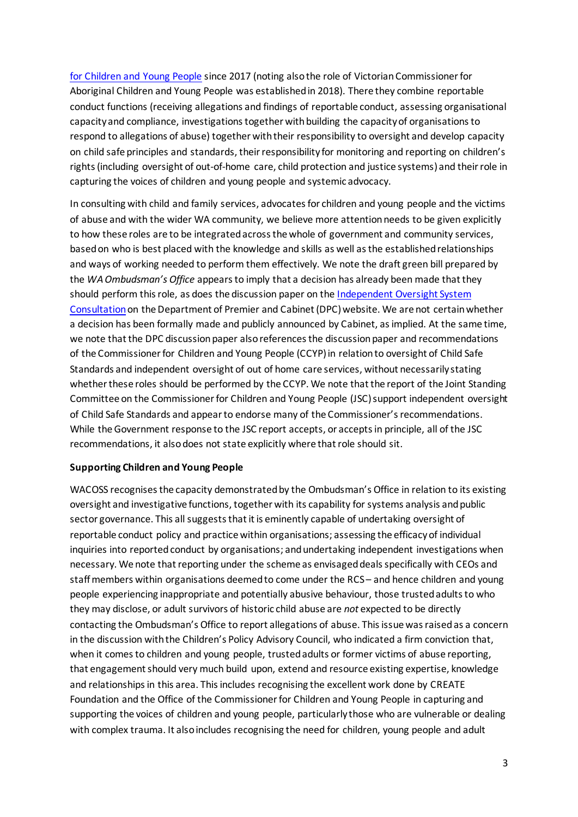[for Children and Young People](https://ccyp.vic.gov.au/reportable-conduct-scheme/) since 2017 (noting also the role of Victorian Commissioner for Aboriginal Children and Young People was established in 2018). There they combine reportable conduct functions (receiving allegations and findings of reportable conduct, assessing organisational capacity and compliance, investigations together with building the capacity of organisations to respond to allegations of abuse) together with their responsibility to oversight and develop capacity on child safe principles and standards, their responsibility for monitoring and reporting on children's rights (including oversight of out-of-home care, child protection and justice systems) and their role in capturing the voices of children and young people and systemic advocacy.

In consulting with child and family services, advocates for children and young people and the victims of abuse and with the wider WA community, we believe more attention needs to be given explicitly to how these roles are to be integrated across the whole of government and community services, based on who is best placed with the knowledge and skills as well as the established relationships and ways of working needed to perform them effectively. We note the draft green bill prepared by the *WA Ombudsman's Office* appears to imply that a decision has already been made that they should perform this role, as does the discussion paper on the [Independent Oversight System](https://www.wa.gov.au/organisation/department-of-the-premier-and-cabinet/independent-oversight-system-consultation#how-should-legal-compliance-with-the-national-principles-be-implemented)  [Consultation](https://www.wa.gov.au/organisation/department-of-the-premier-and-cabinet/independent-oversight-system-consultation#how-should-legal-compliance-with-the-national-principles-be-implemented)on the Department of Premier and Cabinet (DPC) website. We are not certainwhether a decision has been formally made and publicly announced by Cabinet, as implied. At the same time, we note that the DPC discussion paper also references the discussion paper and recommendations of the Commissioner for Children and Young People (CCYP)in relation to oversight of Child Safe Standards and independent oversight of out of home care services, without necessarily stating whether these roles should be performed by the CCYP. We note that the report of the Joint Standing Committee on the Commissioner for Children and Young People (JSC) support independent oversight of Child Safe Standards and appear to endorse many of the Commissioner's recommendations. While the Government response to the JSC report accepts, or accepts in principle, all of the JSC recommendations, it also does not state explicitly where that role should sit.

#### **Supporting Children and Young People**

WACOSS recognises the capacity demonstrated by the Ombudsman's Office in relation to its existing oversight and investigative functions, together with its capability for systems analysis and public sector governance. This all suggests that it is eminently capable of undertaking oversight of reportable conduct policy and practice within organisations; assessing the efficacy of individual inquiries into reported conduct by organisations; and undertaking independent investigations when necessary. We note that reporting under the scheme as envisaged deals specifically with CEOs and staff members within organisations deemed to come under the RCS– and hence children and young people experiencing inappropriate and potentially abusive behaviour, those trusted adults to who they may disclose, or adult survivors of historic child abuse are *not* expected to be directly contacting the Ombudsman's Office to report allegations of abuse. This issue was raised as a concern in the discussion with the Children's Policy Advisory Council, who indicated a firm conviction that, when it comes to children and young people, trusted adults or former victims of abuse reporting, that engagementshould very much build upon, extend and resource existing expertise, knowledge and relationships in this area. This includes recognising the excellent work done by CREATE Foundation and the Office of the Commissioner for Children and Young People in capturing and supporting the voices of children and young people, particularly those who are vulnerable or dealing with complex trauma. It also includes recognising the need for children, young people and adult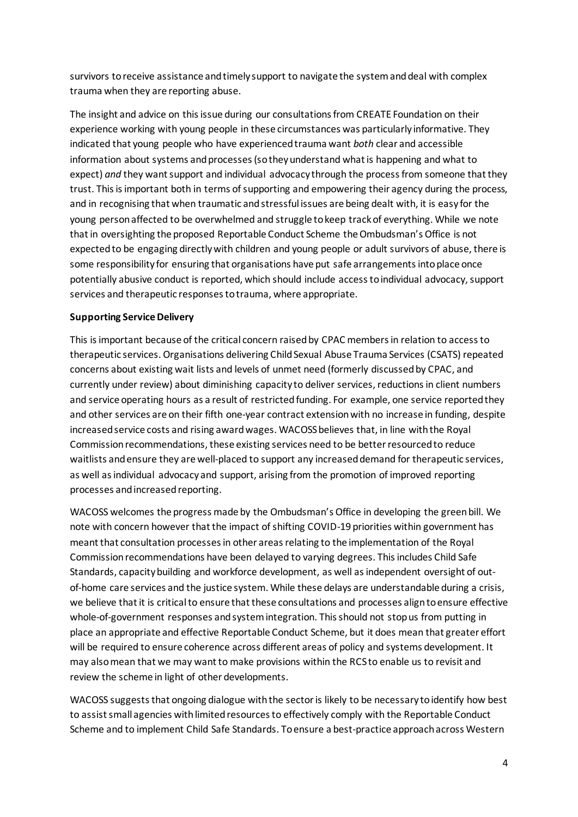survivors to receive assistance and timely support to navigate the system and deal with complex trauma when they are reporting abuse.

The insight and advice on this issue during our consultations from CREATE Foundation on their experience working with young people in these circumstances was particularly informative. They indicated that young people who have experienced trauma want *both* clear and accessible information about systems and processes (so they understand what is happening and what to expect) *and* they want support and individual advocacy through the process from someone that they trust. This is important both in terms of supporting and empowering their agency during the process, and in recognising that when traumatic and stressful issues are being dealt with, it is easy for the young personaffected to be overwhelmed and struggle to keep track of everything. While we note that in oversighting the proposed Reportable Conduct Scheme the Ombudsman's Office is not expected to be engaging directly with children and young people or adult survivors of abuse, there is some responsibility for ensuring that organisations have put safe arrangements into place once potentially abusive conduct is reported, which should include access to individual advocacy, support services and therapeutic responses to trauma, where appropriate.

### **Supporting Service Delivery**

This is important because of the critical concern raised by CPAC members in relation to access to therapeutic services. Organisations delivering Child Sexual Abuse Trauma Services (CSATS) repeated concerns about existing wait lists and levels of unmet need (formerly discussed by CPAC, and currently under review) about diminishing capacity to deliver services, reductions in client numbers and service operating hours as a result of restricted funding. For example, one service reported they and other services are on their fifth one-year contract extension with no increase in funding, despite increased service costs and rising award wages. WACOSS believes that, in line with the Royal Commission recommendations, these existing services need to be better resourced to reduce waitlists and ensure they are well-placed to support any increased demand for therapeutic services, as well as individual advocacy and support, arising from the promotion of improved reporting processes and increased reporting.

WACOSS welcomes the progress made by the Ombudsman's Office in developing the green bill. We note with concern however that the impact of shifting COVID-19 priorities within government has meant that consultation processes in other areas relating to the implementation of the Royal Commission recommendations have been delayed to varying degrees. This includes Child Safe Standards, capacity building and workforce development, as well as independent oversight of outof-home care services and the justice system. While these delays are understandable during a crisis, we believe that it is critical to ensure that these consultations and processes align to ensure effective whole-of-government responses and system integration. This should not stop us from putting in place an appropriate and effective Reportable Conduct Scheme, but it does mean that greater effort will be required to ensure coherence across different areas of policy and systems development. It may also mean that we may want to make provisions within the RCSto enable us to revisit and review the scheme in light of other developments.

WACOSS suggests that ongoing dialogue with the sector is likely to be necessary to identify how best to assist small agencies with limited resources to effectively comply with the Reportable Conduct Scheme and to implement Child Safe Standards. To ensure a best-practice approach across Western